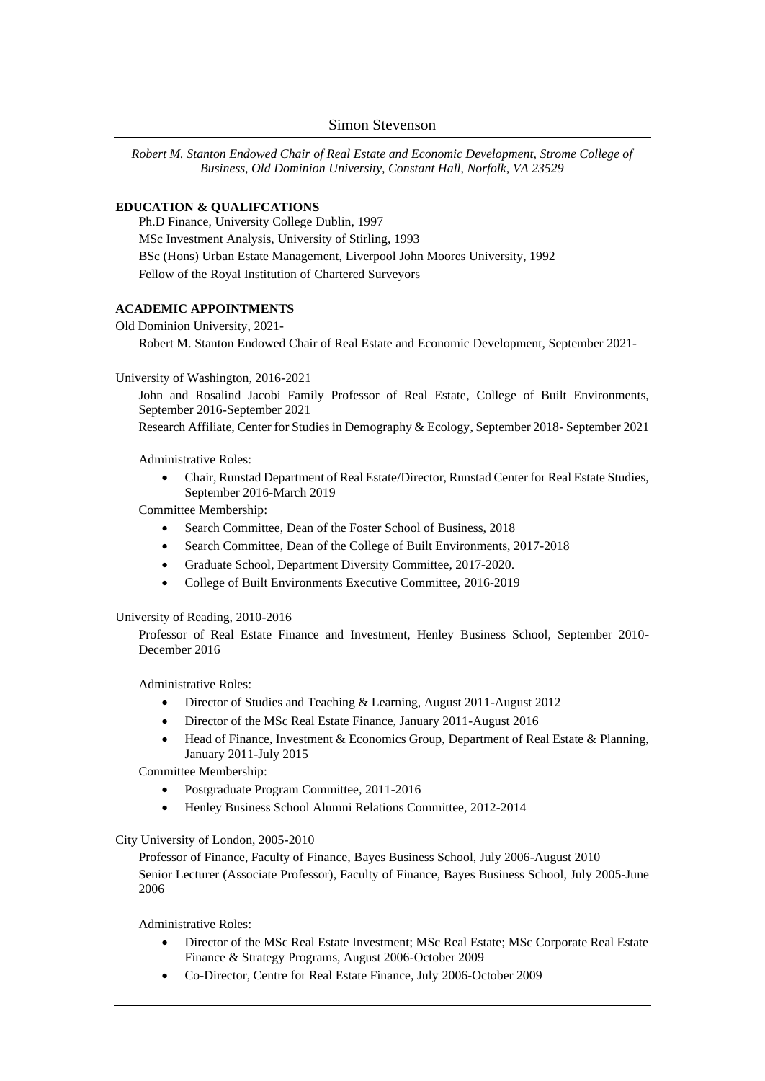*Robert M. Stanton Endowed Chair of Real Estate and Economic Development, Strome College of Business, Old Dominion University, Constant Hall, Norfolk, VA 23529*

#### **EDUCATION & QUALIFCATIONS**

Ph.D Finance, University College Dublin, 1997 MSc Investment Analysis, University of Stirling, 1993 BSc (Hons) Urban Estate Management, Liverpool John Moores University, 1992 Fellow of the Royal Institution of Chartered Surveyors

#### **ACADEMIC APPOINTMENTS**

Old Dominion University, 2021-

Robert M. Stanton Endowed Chair of Real Estate and Economic Development, September 2021-

#### University of Washington, 2016-2021

John and Rosalind Jacobi Family Professor of Real Estate, College of Built Environments, September 2016-September 2021

Research Affiliate, Center for Studies in Demography & Ecology, September 2018- September 2021

Administrative Roles:

• Chair, Runstad Department of Real Estate/Director, Runstad Center for Real Estate Studies, September 2016-March 2019

Committee Membership:

- Search Committee, Dean of the Foster School of Business, 2018
- Search Committee, Dean of the College of Built Environments, 2017-2018
- Graduate School, Department Diversity Committee, 2017-2020.
- College of Built Environments Executive Committee, 2016-2019

#### University of Reading, 2010-2016

Professor of Real Estate Finance and Investment, Henley Business School, September 2010- December 2016

Administrative Roles:

- Director of Studies and Teaching & Learning, August 2011-August 2012
- Director of the MSc Real Estate Finance, January 2011-August 2016
- Head of Finance, Investment & Economics Group, Department of Real Estate & Planning, January 2011-July 2015

Committee Membership:

- Postgraduate Program Committee, 2011-2016
- Henley Business School Alumni Relations Committee, 2012-2014

#### City University of London, 2005-2010

Professor of Finance, Faculty of Finance, Bayes Business School, July 2006-August 2010 Senior Lecturer (Associate Professor), Faculty of Finance, Bayes Business School, July 2005-June 2006

Administrative Roles:

- Director of the MSc Real Estate Investment; MSc Real Estate; MSc Corporate Real Estate Finance & Strategy Programs, August 2006-October 2009
- Co-Director, Centre for Real Estate Finance, July 2006-October 2009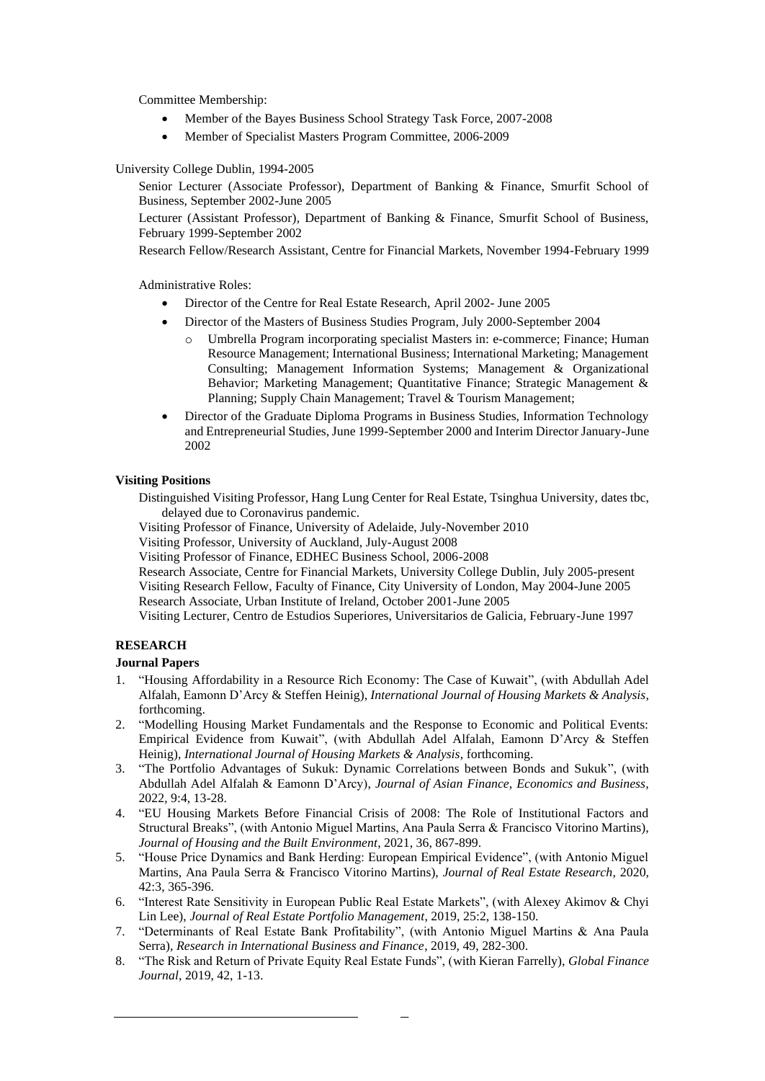Committee Membership:

- Member of the Bayes Business School Strategy Task Force, 2007-2008
- Member of Specialist Masters Program Committee, 2006-2009

University College Dublin, 1994-2005

Senior Lecturer (Associate Professor), Department of Banking & Finance, Smurfit School of Business, September 2002-June 2005

Lecturer (Assistant Professor), Department of Banking & Finance, Smurfit School of Business, February 1999-September 2002

Research Fellow/Research Assistant, Centre for Financial Markets, November 1994-February 1999

Administrative Roles:

- Director of the Centre for Real Estate Research, April 2002- June 2005
- Director of the Masters of Business Studies Program, July 2000-September 2004
	- o Umbrella Program incorporating specialist Masters in: e-commerce; Finance; Human Resource Management; International Business; International Marketing; Management Consulting; Management Information Systems; Management & Organizational Behavior; Marketing Management; Quantitative Finance; Strategic Management & Planning; Supply Chain Management; Travel & Tourism Management;
- Director of the Graduate Diploma Programs in Business Studies, Information Technology and Entrepreneurial Studies, June 1999-September 2000 and Interim Director January-June 2002

### **Visiting Positions**

Distinguished Visiting Professor, Hang Lung Center for Real Estate, Tsinghua University, dates tbc, delayed due to Coronavirus pandemic.

Visiting Professor of Finance, University of Adelaide, July-November 2010

Visiting Professor, University of Auckland, July-August 2008

Visiting Professor of Finance, EDHEC Business School, 2006-2008

Research Associate, Centre for Financial Markets, University College Dublin, July 2005-present Visiting Research Fellow, Faculty of Finance, City University of London, May 2004-June 2005 Research Associate, Urban Institute of Ireland, October 2001-June 2005

Visiting Lecturer, Centro de Estudios Superiores, Universitarios de Galicia, February-June 1997

### **RESEARCH**

### **Journal Papers**

- 1. "Housing Affordability in a Resource Rich Economy: The Case of Kuwait", (with Abdullah Adel Alfalah, Eamonn D'Arcy & Steffen Heinig), *International Journal of Housing Markets & Analysis*, forthcoming.
- 2. "Modelling Housing Market Fundamentals and the Response to Economic and Political Events: Empirical Evidence from Kuwait", (with Abdullah Adel Alfalah, Eamonn D'Arcy & Steffen Heinig), *International Journal of Housing Markets & Analysis*, forthcoming.
- 3. "The Portfolio Advantages of Sukuk: Dynamic Correlations between Bonds and Sukuk", (with Abdullah Adel Alfalah & Eamonn D'Arcy), *Journal of Asian Finance, Economics and Business*, 2022, 9:4, 13-28.
- 4. "EU Housing Markets Before Financial Crisis of 2008: The Role of Institutional Factors and Structural Breaks", (with Antonio Miguel Martins, Ana Paula Serra & Francisco Vitorino Martins), *Journal of Housing and the Built Environment*, 2021, 36, 867-899.
- 5. "House Price Dynamics and Bank Herding: European Empirical Evidence", (with Antonio Miguel Martins, Ana Paula Serra & Francisco Vitorino Martins), *Journal of Real Estate Research*, 2020, 42:3, 365-396.
- 6. "Interest Rate Sensitivity in European Public Real Estate Markets", (with Alexey Akimov & Chyi Lin Lee), *Journal of Real Estate Portfolio Management*, 2019, 25:2, 138-150.
- 7. "Determinants of Real Estate Bank Profitability", (with Antonio Miguel Martins & Ana Paula Serra), *Research in International Business and Finance*, 2019, 49, 282-300.
- 8. "The Risk and Return of Private Equity Real Estate Funds", (with Kieran Farrelly), *Global Finance Journal*, 2019, 42, 1-13.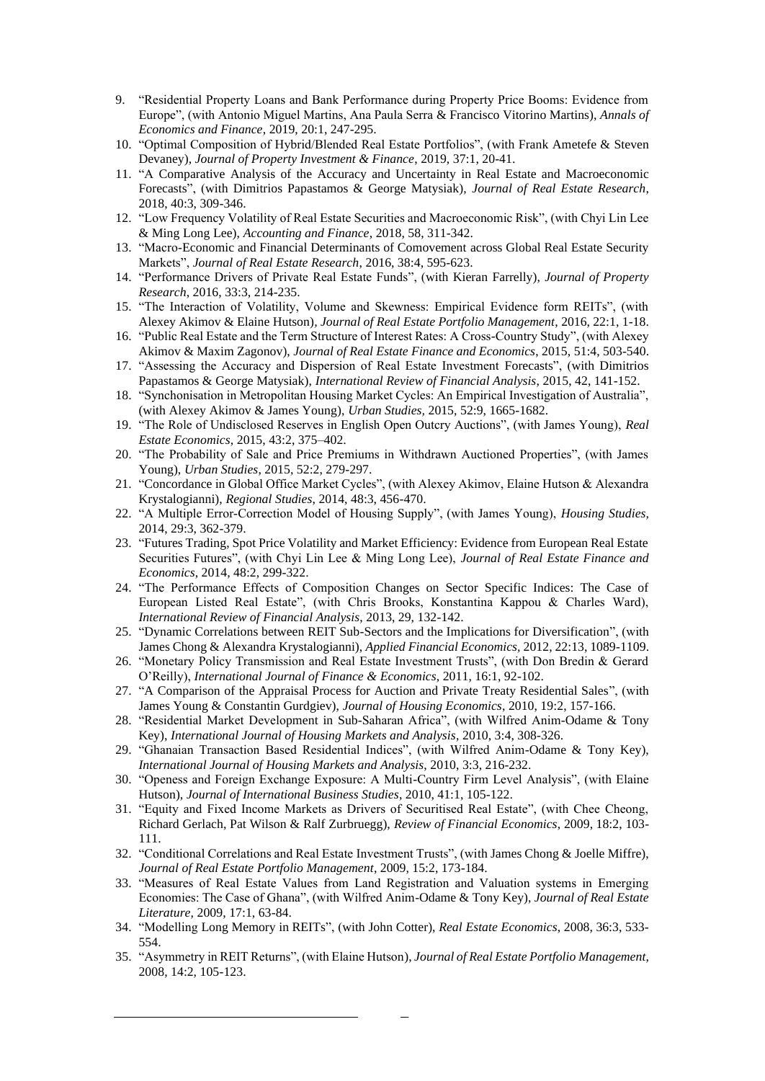- 9. "Residential Property Loans and Bank Performance during Property Price Booms: Evidence from Europe", (with Antonio Miguel Martins, Ana Paula Serra & Francisco Vitorino Martins), *Annals of Economics and Finance*, 2019, 20:1, 247-295.
- 10. "Optimal Composition of Hybrid/Blended Real Estate Portfolios", (with Frank Ametefe & Steven Devaney), *Journal of Property Investment & Finance*, 2019, 37:1, 20-41.
- 11. "A Comparative Analysis of the Accuracy and Uncertainty in Real Estate and Macroeconomic Forecasts", (with Dimitrios Papastamos & George Matysiak), *Journal of Real Estate Research*, 2018, 40:3, 309-346.
- 12. "Low Frequency Volatility of Real Estate Securities and Macroeconomic Risk", (with Chyi Lin Lee & Ming Long Lee), *Accounting and Finance*, 2018, 58, 311-342.
- 13. "Macro-Economic and Financial Determinants of Comovement across Global Real Estate Security Markets", *Journal of Real Estate Research*, 2016, 38:4, 595-623.
- 14. "Performance Drivers of Private Real Estate Funds", (with Kieran Farrelly), *Journal of Property Research*, 2016, 33:3, 214-235.
- 15. "The Interaction of Volatility, Volume and Skewness: Empirical Evidence form REITs", (with Alexey Akimov & Elaine Hutson)*, Journal of Real Estate Portfolio Management*, 2016, 22:1, 1-18.
- 16. "Public Real Estate and the Term Structure of Interest Rates: A Cross-Country Study", (with Alexey Akimov & Maxim Zagonov), *Journal of Real Estate Finance and Economics*, 2015, 51:4, 503-540.
- 17. "Assessing the Accuracy and Dispersion of Real Estate Investment Forecasts", (with Dimitrios Papastamos & George Matysiak), *International Review of Financial Analysis*, 2015, 42, 141-152.
- 18. "Synchonisation in Metropolitan Housing Market Cycles: An Empirical Investigation of Australia", (with Alexey Akimov & James Young), *Urban Studies,* 2015, 52:9, 1665-1682.
- 19. "The Role of Undisclosed Reserves in English Open Outcry Auctions", (with James Young), *Real Estate Economics*, 2015, 43:2, 375–402.
- 20. "The Probability of Sale and Price Premiums in Withdrawn Auctioned Properties", (with James Young), *Urban Studies*, 2015, 52:2, 279-297.
- 21. "Concordance in Global Office Market Cycles", (with Alexey Akimov, Elaine Hutson & Alexandra Krystalogianni), *Regional Studies*, 2014, 48:3, 456-470.
- 22. "A Multiple Error-Correction Model of Housing Supply", (with James Young), *Housing Studies,*  2014, 29:3, 362-379.
- 23. "Futures Trading, Spot Price Volatility and Market Efficiency: Evidence from European Real Estate Securities Futures", (with Chyi Lin Lee & Ming Long Lee), *Journal of Real Estate Finance and Economics*, 2014, 48:2, 299-322.
- 24. "The Performance Effects of Composition Changes on Sector Specific Indices: The Case of European Listed Real Estate", (with Chris Brooks, Konstantina Kappou & Charles Ward), *International Review of Financial Analysis*, 2013, 29, 132-142.
- 25. "Dynamic Correlations between REIT Sub-Sectors and the Implications for Diversification", (with James Chong & Alexandra Krystalogianni), *Applied Financial Economics,* 2012, 22:13, 1089-1109.
- 26. "Monetary Policy Transmission and Real Estate Investment Trusts", (with Don Bredin & Gerard O'Reilly), *International Journal of Finance & Economics*, 2011, 16:1, 92-102.
- 27. "A Comparison of the Appraisal Process for Auction and Private Treaty Residential Sales", (with James Young & Constantin Gurdgiev), *Journal of Housing Economics*, 2010, 19:2, 157-166.
- 28. "Residential Market Development in Sub-Saharan Africa", (with Wilfred Anim-Odame & Tony Key), *International Journal of Housing Markets and Analysis*, 2010, 3:4, 308-326.
- 29. "Ghanaian Transaction Based Residential Indices", (with Wilfred Anim-Odame & Tony Key), *International Journal of Housing Markets and Analysis*, 2010, 3:3, 216-232.
- 30. "Openess and Foreign Exchange Exposure: A Multi-Country Firm Level Analysis", (with Elaine Hutson), *Journal of International Business Studies*, 2010, 41:1, 105-122.
- 31. "Equity and Fixed Income Markets as Drivers of Securitised Real Estate", (with Chee Cheong, Richard Gerlach, Pat Wilson & Ralf Zurbruegg), *Review of Financial Economics*, 2009, 18:2, 103- 111.
- 32. "Conditional Correlations and Real Estate Investment Trusts", (with James Chong & Joelle Miffre), *Journal of Real Estate Portfolio Management*, 2009, 15:2, 173-184.
- 33. "Measures of Real Estate Values from Land Registration and Valuation systems in Emerging Economies: The Case of Ghana", (with Wilfred Anim-Odame & Tony Key), *Journal of Real Estate Literature*, 2009, 17:1, 63-84.
- 34. "Modelling Long Memory in REITs", (with John Cotter), *Real Estate Economics*, 2008, 36:3, 533- 554.
- 35. "Asymmetry in REIT Returns", (with Elaine Hutson), *Journal of Real Estate Portfolio Management*, 2008, 14:2, 105-123.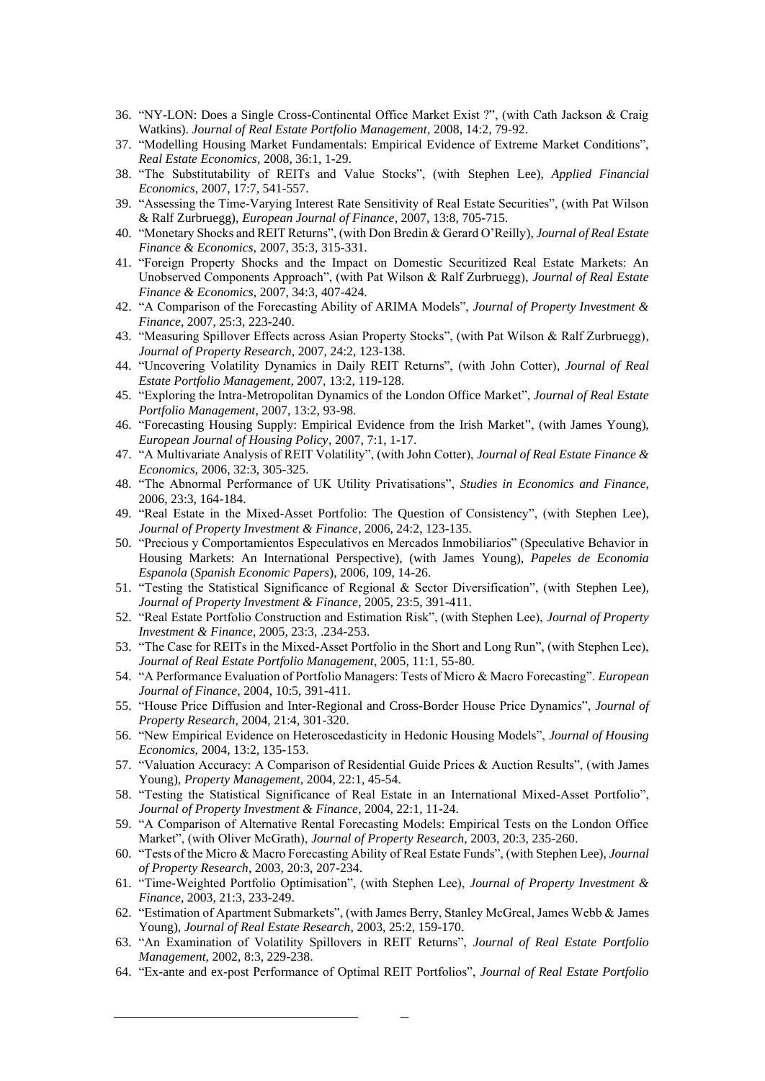- 36. "NY-LON: Does a Single Cross-Continental Office Market Exist ?", (with Cath Jackson & Craig Watkins). *Journal of Real Estate Portfolio Management*, 2008, 14:2, 79-92.
- 37. "Modelling Housing Market Fundamentals: Empirical Evidence of Extreme Market Conditions", *Real Estate Economics*, 2008, 36:1, 1-29.
- 38. "The Substitutability of REITs and Value Stocks", (with Stephen Lee), *Applied Financial Economics*, 2007, 17:7, 541-557.
- 39. "Assessing the Time-Varying Interest Rate Sensitivity of Real Estate Securities", (with Pat Wilson & Ralf Zurbruegg), *European Journal of Finance*, 2007, 13:8, 705-715.
- 40. "Monetary Shocks and REIT Returns", (with Don Bredin & Gerard O'Reilly), *Journal of Real Estate Finance & Economics,* 2007, 35:3, 315-331.
- 41. "Foreign Property Shocks and the Impact on Domestic Securitized Real Estate Markets: An Unobserved Components Approach", (with Pat Wilson & Ralf Zurbruegg), *Journal of Real Estate Finance & Economics*, 2007, 34:3, 407-424.
- 42. "A Comparison of the Forecasting Ability of ARIMA Models", *Journal of Property Investment & Finance*, 2007, 25:3, 223-240.
- 43. "Measuring Spillover Effects across Asian Property Stocks", (with Pat Wilson & Ralf Zurbruegg), *Journal of Property Research*, 2007, 24:2, 123-138.
- 44. "Uncovering Volatility Dynamics in Daily REIT Returns", (with John Cotter), *Journal of Real Estate Portfolio Management*, 2007, 13:2, 119-128.
- 45. "Exploring the Intra-Metropolitan Dynamics of the London Office Market", *Journal of Real Estate Portfolio Management*, 2007, 13:2, 93-98.
- 46. "Forecasting Housing Supply: Empirical Evidence from the Irish Market", (with James Young), *European Journal of Housing Policy*, 2007, 7:1, 1-17.
- 47. "A Multivariate Analysis of REIT Volatility", (with John Cotter), *Journal of Real Estate Finance & Economics,* 2006, 32:3, 305-325.
- 48. "The Abnormal Performance of UK Utility Privatisations", *Studies in Economics and Finance*, 2006, 23:3, 164-184.
- 49. "Real Estate in the Mixed-Asset Portfolio: The Question of Consistency", (with Stephen Lee), *Journal of Property Investment & Finance*, 2006, 24:2, 123-135.
- 50. "Precious y Comportamientos Especulativos en Mercados Inmobiliarios" (Speculative Behavior in Housing Markets: An International Perspective), (with James Young), *Papeles de Economia Espanola* (*Spanish Economic Papers*), 2006, 109, 14-26.
- 51. "Testing the Statistical Significance of Regional & Sector Diversification", (with Stephen Lee), *Journal of Property Investment & Finance*, 2005, 23:5, 391-411.
- 52. "Real Estate Portfolio Construction and Estimation Risk", (with Stephen Lee), *Journal of Property Investment & Finance*, 2005, 23:3, .234-253.
- 53. "The Case for REITs in the Mixed-Asset Portfolio in the Short and Long Run", (with Stephen Lee), *Journal of Real Estate Portfolio Management*, 2005, 11:1, 55-80.
- 54. "A Performance Evaluation of Portfolio Managers: Tests of Micro & Macro Forecasting". *European Journal of Finance*, 2004, 10:5, 391-411.
- 55. "House Price Diffusion and Inter-Regional and Cross-Border House Price Dynamics", *Journal of Property Research,* 2004, 21:4, 301-320.
- 56. "New Empirical Evidence on Heteroscedasticity in Hedonic Housing Models", *Journal of Housing Economics,* 2004, 13:2, 135-153.
- 57. "Valuation Accuracy: A Comparison of Residential Guide Prices & Auction Results", (with James Young), *Property Management*, 2004, 22:1, 45-54.
- 58. "Testing the Statistical Significance of Real Estate in an International Mixed-Asset Portfolio", *Journal of Property Investment & Finance*, 2004, 22:1, 11-24.
- 59. "A Comparison of Alternative Rental Forecasting Models: Empirical Tests on the London Office Market", (with Oliver McGrath), *Journal of Property Research*, 2003, 20:3, 235-260.
- 60. "Tests of the Micro & Macro Forecasting Ability of Real Estate Funds", (with Stephen Lee), *Journal of Property Research*, 2003, 20:3, 207-234.
- 61. "Time-Weighted Portfolio Optimisation", (with Stephen Lee), *Journal of Property Investment & Finance*, 2003, 21:3, 233-249.
- 62. "Estimation of Apartment Submarkets", (with James Berry, Stanley McGreal, James Webb & James Young), *Journal of Real Estate Research*, 2003, 25:2, 159-170.
- 63. "An Examination of Volatility Spillovers in REIT Returns", *Journal of Real Estate Portfolio Management*, 2002, 8:3, 229-238.
- 64. "Ex-ante and ex-post Performance of Optimal REIT Portfolios", *Journal of Real Estate Portfolio*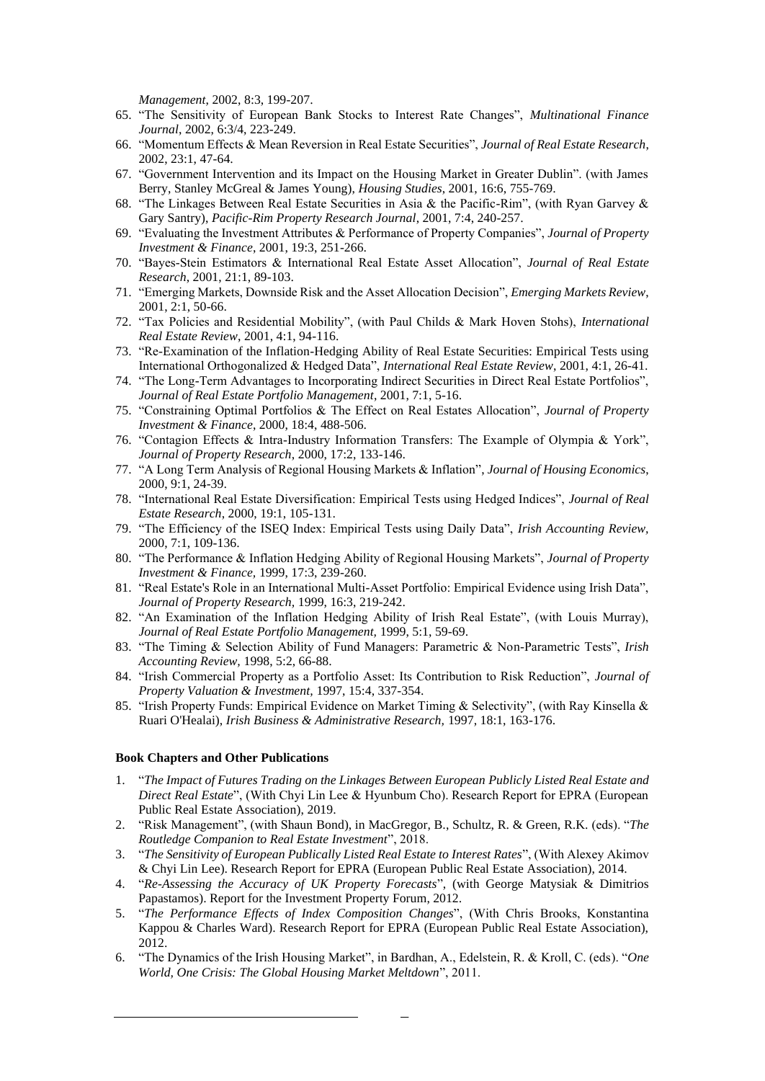*Management*, 2002, 8:3, 199-207.

- 65. "The Sensitivity of European Bank Stocks to Interest Rate Changes", *Multinational Finance Journal*, 2002, 6:3/4, 223-249.
- 66. "Momentum Effects & Mean Reversion in Real Estate Securities", *Journal of Real Estate Research*, 2002, 23:1, 47-64.
- 67. "Government Intervention and its Impact on the Housing Market in Greater Dublin". (with James Berry, Stanley McGreal & James Young), *Housing Studies*, 2001, 16:6, 755-769.
- 68. "The Linkages Between Real Estate Securities in Asia & the Pacific-Rim", (with Ryan Garvey & Gary Santry), *Pacific-Rim Property Research Journal*, 2001, 7:4, 240-257.
- 69. "Evaluating the Investment Attributes & Performance of Property Companies", *Journal of Property Investment & Finance*, 2001, 19:3, 251-266.
- 70. "Bayes-Stein Estimators & International Real Estate Asset Allocation", *Journal of Real Estate Research*, 2001, 21:1, 89-103.
- 71. "Emerging Markets, Downside Risk and the Asset Allocation Decision", *Emerging Markets Review*, 2001, 2:1, 50-66.
- 72. "Tax Policies and Residential Mobility", (with Paul Childs & Mark Hoven Stohs), *International Real Estate Review*, 2001, 4:1, 94-116.
- 73. "Re-Examination of the Inflation-Hedging Ability of Real Estate Securities: Empirical Tests using International Orthogonalized & Hedged Data", *International Real Estate Review*, 2001, 4:1, 26-41.
- 74. "The Long-Term Advantages to Incorporating Indirect Securities in Direct Real Estate Portfolios", *Journal of Real Estate Portfolio Management*, 2001, 7:1, 5-16.
- 75. "Constraining Optimal Portfolios & The Effect on Real Estates Allocation", *Journal of Property Investment & Finance*, 2000, 18:4, 488-506.
- 76. "Contagion Effects & Intra-Industry Information Transfers: The Example of Olympia & York", *Journal of Property Research*, 2000, 17:2, 133-146.
- 77. "A Long Term Analysis of Regional Housing Markets & Inflation", *Journal of Housing Economics*, 2000, 9:1, 24-39.
- 78. "International Real Estate Diversification: Empirical Tests using Hedged Indices", *Journal of Real Estate Research*, 2000, 19:1, 105-131.
- 79. "The Efficiency of the ISEQ Index: Empirical Tests using Daily Data", *Irish Accounting Review,*  2000, 7:1, 109-136.
- 80. "The Performance & Inflation Hedging Ability of Regional Housing Markets", *Journal of Property Investment & Finance,* 1999, 17:3, 239-260.
- 81. "Real Estate's Role in an International Multi-Asset Portfolio: Empirical Evidence using Irish Data", *Journal of Property Research,* 1999, 16:3, 219-242.
- 82. "An Examination of the Inflation Hedging Ability of Irish Real Estate", (with Louis Murray), *Journal of Real Estate Portfolio Management,* 1999, 5:1, 59-69.
- 83. "The Timing & Selection Ability of Fund Managers: Parametric & Non-Parametric Tests", *Irish Accounting Review,* 1998, 5:2, 66-88.
- 84. "Irish Commercial Property as a Portfolio Asset: Its Contribution to Risk Reduction", *Journal of Property Valuation & Investment,* 1997, 15:4, 337-354.
- 85. "Irish Property Funds: Empirical Evidence on Market Timing & Selectivity", (with Ray Kinsella & Ruari O'Healai), *Irish Business & Administrative Research,* 1997, 18:1, 163-176.

#### **Book Chapters and Other Publications**

- 1. "*The Impact of Futures Trading on the Linkages Between European Publicly Listed Real Estate and Direct Real Estate*", (With Chyi Lin Lee & Hyunbum Cho). Research Report for EPRA (European Public Real Estate Association), 2019.
- 2. "Risk Management", (with Shaun Bond), in MacGregor, B., Schultz, R. & Green, R.K. (eds). "*The Routledge Companion to Real Estate Investment*", 2018.
- 3. "*The Sensitivity of European Publically Listed Real Estate to Interest Rates*", (With Alexey Akimov & Chyi Lin Lee). Research Report for EPRA (European Public Real Estate Association), 2014.
- 4. "*Re-Assessing the Accuracy of UK Property Forecasts*", (with George Matysiak & Dimitrios Papastamos). Report for the Investment Property Forum, 2012.
- 5. "*The Performance Effects of Index Composition Changes*", (With Chris Brooks, Konstantina Kappou & Charles Ward). Research Report for EPRA (European Public Real Estate Association), 2012.
- 6. "The Dynamics of the Irish Housing Market", in Bardhan, A., Edelstein, R. & Kroll, C. (eds). "*One World, One Crisis: The Global Housing Market Meltdown*", 2011.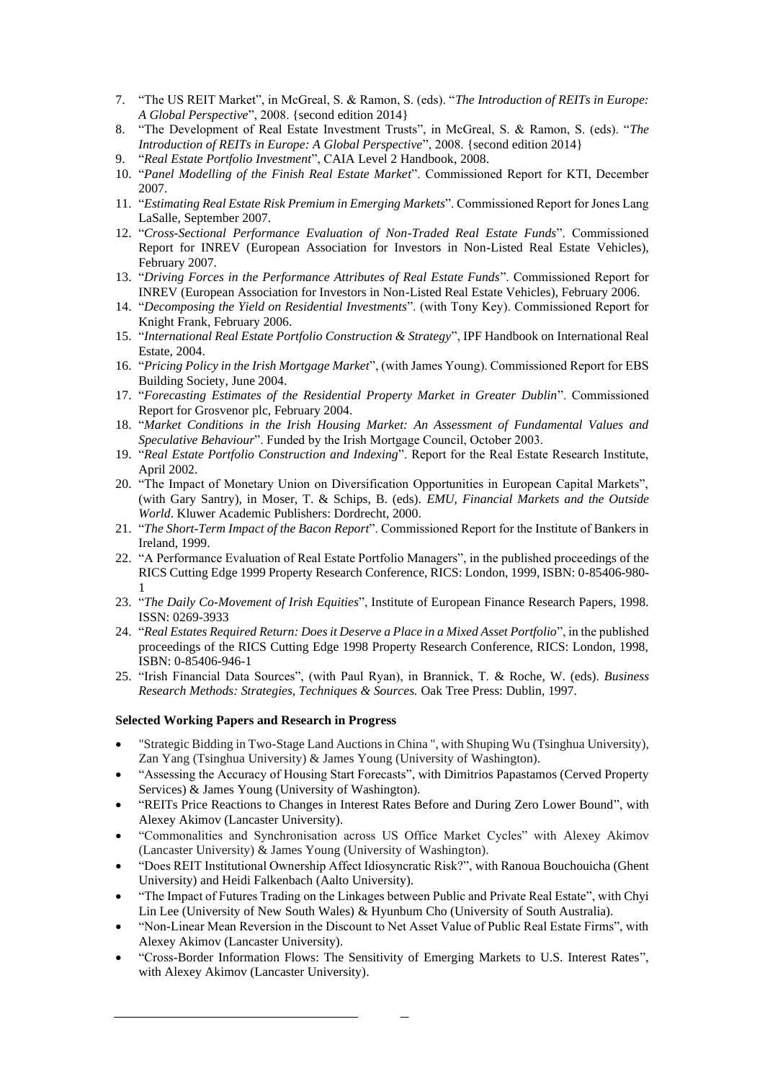- 7. "The US REIT Market", in McGreal, S. & Ramon, S. (eds). "*The Introduction of REITs in Europe: A Global Perspective*", 2008. {second edition 2014}
- 8. "The Development of Real Estate Investment Trusts", in McGreal, S. & Ramon, S. (eds). "*The Introduction of REITs in Europe: A Global Perspective*", 2008. {second edition 2014}
- 9. "*Real Estate Portfolio Investment*", CAIA Level 2 Handbook, 2008.
- 10. "*Panel Modelling of the Finish Real Estate Market*". Commissioned Report for KTI, December 2007.
- 11. "*Estimating Real Estate Risk Premium in Emerging Markets*". Commissioned Report for Jones Lang LaSalle, September 2007.
- 12. "*Cross-Sectional Performance Evaluation of Non-Traded Real Estate Funds*". Commissioned Report for INREV (European Association for Investors in Non-Listed Real Estate Vehicles), February 2007.
- 13. "*Driving Forces in the Performance Attributes of Real Estate Funds*". Commissioned Report for INREV (European Association for Investors in Non-Listed Real Estate Vehicles), February 2006.
- 14. "*Decomposing the Yield on Residential Investments*". (with Tony Key). Commissioned Report for Knight Frank, February 2006.
- 15. "*International Real Estate Portfolio Construction & Strategy*", IPF Handbook on International Real Estate, 2004.
- 16. "*Pricing Policy in the Irish Mortgage Market*", (with James Young). Commissioned Report for EBS Building Society, June 2004.
- 17. "*Forecasting Estimates of the Residential Property Market in Greater Dublin*". Commissioned Report for Grosvenor plc, February 2004.
- 18. "*Market Conditions in the Irish Housing Market: An Assessment of Fundamental Values and Speculative Behaviour*". Funded by the Irish Mortgage Council, October 2003.
- 19. "*Real Estate Portfolio Construction and Indexing*". Report for the Real Estate Research Institute, April 2002.
- 20. "The Impact of Monetary Union on Diversification Opportunities in European Capital Markets", (with Gary Santry), in Moser, T. & Schips, B. (eds). *EMU, Financial Markets and the Outside World*. Kluwer Academic Publishers: Dordrecht, 2000.
- 21. "*The Short-Term Impact of the Bacon Report*". Commissioned Report for the Institute of Bankers in Ireland, 1999.
- 22. "A Performance Evaluation of Real Estate Portfolio Managers", in the published proceedings of the RICS Cutting Edge 1999 Property Research Conference, RICS: London, 1999, ISBN: 0-85406-980- 1
- 23. "*The Daily Co-Movement of Irish Equities*", Institute of European Finance Research Papers, 1998. ISSN: 0269-3933
- 24. "*Real Estates Required Return: Does it Deserve a Place in a Mixed Asset Portfolio*", in the published proceedings of the RICS Cutting Edge 1998 Property Research Conference, RICS: London, 1998, ISBN: 0-85406-946-1
- 25. "Irish Financial Data Sources", (with Paul Ryan), in Brannick, T. & Roche, W. (eds). *Business Research Methods: Strategies, Techniques & Sources.* Oak Tree Press: Dublin, 1997.

#### **Selected Working Papers and Research in Progress**

- "Strategic Bidding in Two-Stage Land Auctions in China ", with Shuping Wu (Tsinghua University), Zan Yang (Tsinghua University) & James Young (University of Washington).
- "Assessing the Accuracy of Housing Start Forecasts", with Dimitrios Papastamos (Cerved Property Services) & James Young (University of Washington).
- "REITs Price Reactions to Changes in Interest Rates Before and During Zero Lower Bound", with Alexey Akimov (Lancaster University).
- "Commonalities and Synchronisation across US Office Market Cycles" with Alexey Akimov (Lancaster University) & James Young (University of Washington).
- "Does REIT Institutional Ownership Affect Idiosyncratic Risk?", with Ranoua Bouchouicha (Ghent University) and Heidi Falkenbach (Aalto University).
- "The Impact of Futures Trading on the Linkages between Public and Private Real Estate", with Chyi Lin Lee (University of New South Wales) & Hyunbum Cho (University of South Australia).
- "Non-Linear Mean Reversion in the Discount to Net Asset Value of Public Real Estate Firms", with Alexey Akimov (Lancaster University)*.*
- "Cross-Border Information Flows: The Sensitivity of Emerging Markets to U.S. Interest Rates", with Alexey Akimov (Lancaster University).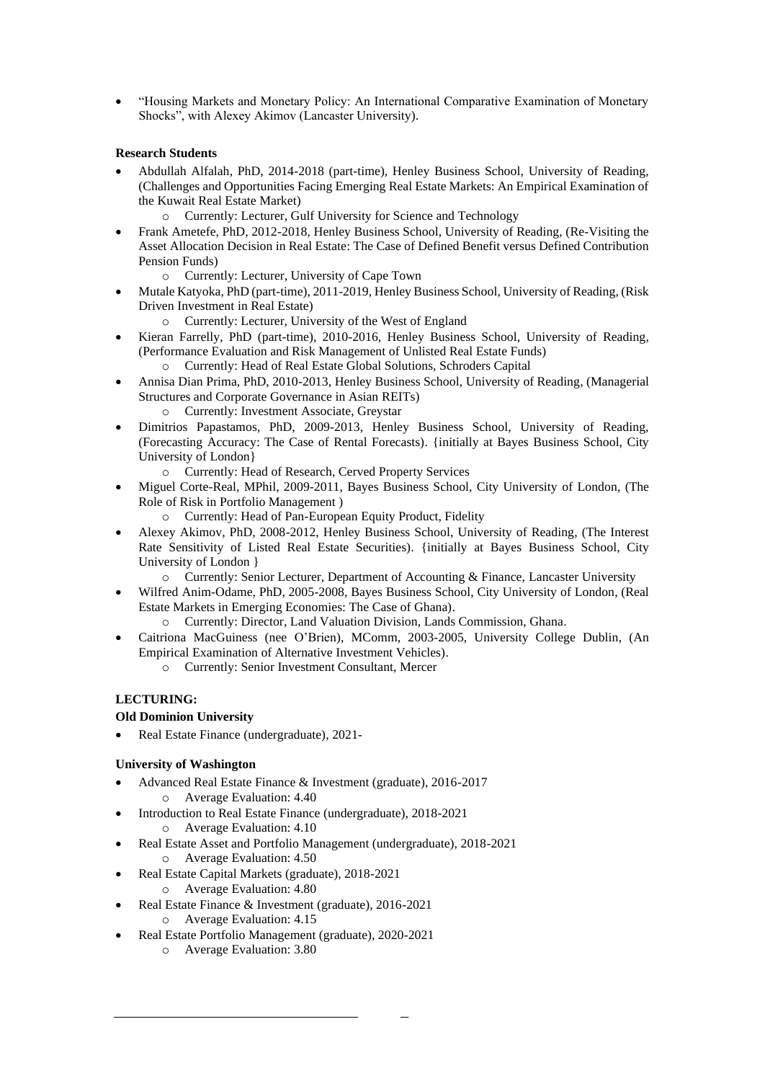• "Housing Markets and Monetary Policy: An International Comparative Examination of Monetary Shocks", with Alexey Akimov (Lancaster University).

# **Research Students**

- Abdullah Alfalah, PhD, 2014-2018 (part-time), Henley Business School, University of Reading, (Challenges and Opportunities Facing Emerging Real Estate Markets: An Empirical Examination of the Kuwait Real Estate Market)
	- o Currently: Lecturer, Gulf University for Science and Technology
- Frank Ametefe, PhD, 2012-2018, Henley Business School, University of Reading, (Re-Visiting the Asset Allocation Decision in Real Estate: The Case of Defined Benefit versus Defined Contribution Pension Funds)
	- o Currently: Lecturer, University of Cape Town
- Mutale Katyoka, PhD (part-time), 2011-2019, Henley Business School, University of Reading, (Risk Driven Investment in Real Estate)
	- o Currently: Lecturer, University of the West of England
- Kieran Farrelly, PhD (part-time), 2010-2016, Henley Business School, University of Reading, (Performance Evaluation and Risk Management of Unlisted Real Estate Funds)
	- o Currently: Head of Real Estate Global Solutions, Schroders Capital
- Annisa Dian Prima, PhD, 2010-2013, Henley Business School, University of Reading, (Managerial Structures and Corporate Governance in Asian REITs)
	- o Currently: Investment Associate, Greystar
- Dimitrios Papastamos, PhD, 2009-2013, Henley Business School, University of Reading, (Forecasting Accuracy: The Case of Rental Forecasts). {initially at Bayes Business School, City University of London}
	- o Currently: Head of Research, Cerved Property Services
- Miguel Corte-Real, MPhil, 2009-2011, Bayes Business School, City University of London, (The Role of Risk in Portfolio Management )
	- o Currently: Head of Pan-European Equity Product, Fidelity
- Alexey Akimov, PhD, 2008-2012, Henley Business School, University of Reading, (The Interest Rate Sensitivity of Listed Real Estate Securities). {initially at Bayes Business School, City University of London }
	- o Currently: Senior Lecturer, Department of Accounting & Finance, Lancaster University
- Wilfred Anim-Odame, PhD, 2005-2008, Bayes Business School, City University of London, (Real Estate Markets in Emerging Economies: The Case of Ghana).
	- o Currently: Director, Land Valuation Division, Lands Commission, Ghana.
- Caitriona MacGuiness (nee O'Brien), MComm, 2003-2005, University College Dublin, (An Empirical Examination of Alternative Investment Vehicles).
	- o Currently: Senior Investment Consultant, Mercer

# **LECTURING:**

# **Old Dominion University**

• Real Estate Finance (undergraduate), 2021-

# **University of Washington**

- Advanced Real Estate Finance & Investment (graduate), 2016-2017
	- o Average Evaluation: 4.40
- Introduction to Real Estate Finance (undergraduate), 2018-2021 o Average Evaluation: 4.10
- Real Estate Asset and Portfolio Management (undergraduate), 2018-2021 o Average Evaluation: 4.50
- Real Estate Capital Markets (graduate), 2018-2021
	- o Average Evaluation: 4.80
- Real Estate Finance & Investment (graduate), 2016-2021
	- o Average Evaluation: 4.15
- Real Estate Portfolio Management (graduate), 2020-2021
	- o Average Evaluation: 3.80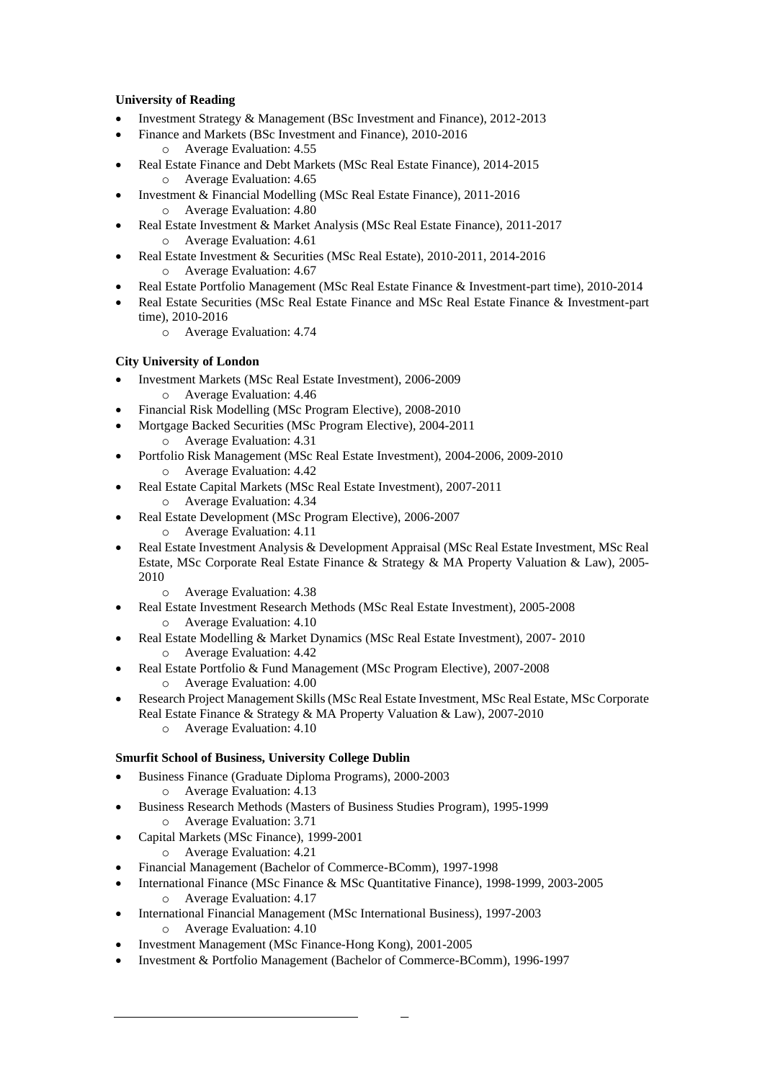# **University of Reading**

- Investment Strategy & Management (BSc Investment and Finance), 2012-2013
- Finance and Markets (BSc Investment and Finance), 2010-2016 o Average Evaluation: 4.55
- Real Estate Finance and Debt Markets (MSc Real Estate Finance), 2014-2015 o Average Evaluation: 4.65
- Investment & Financial Modelling (MSc Real Estate Finance), 2011-2016 o Average Evaluation: 4.80
- Real Estate Investment & Market Analysis (MSc Real Estate Finance), 2011-2017 o Average Evaluation: 4.61
- Real Estate Investment & Securities (MSc Real Estate), 2010-2011, 2014-2016 o Average Evaluation: 4.67
- Real Estate Portfolio Management (MSc Real Estate Finance & Investment-part time), 2010-2014
- Real Estate Securities (MSc Real Estate Finance and MSc Real Estate Finance & Investment-part time), 2010-2016
	- o Average Evaluation: 4.74

# **City University of London**

- Investment Markets (MSc Real Estate Investment), 2006-2009 o Average Evaluation: 4.46
- Financial Risk Modelling (MSc Program Elective), 2008-2010
- Mortgage Backed Securities (MSc Program Elective), 2004-2011
	- o Average Evaluation: 4.31
- Portfolio Risk Management (MSc Real Estate Investment), 2004-2006, 2009-2010 o Average Evaluation: 4.42
- Real Estate Capital Markets (MSc Real Estate Investment), 2007-2011 o Average Evaluation: 4.34
- Real Estate Development (MSc Program Elective), 2006-2007
	- o Average Evaluation: 4.11
- Real Estate Investment Analysis & Development Appraisal (MSc Real Estate Investment, MSc Real Estate, MSc Corporate Real Estate Finance & Strategy & MA Property Valuation & Law), 2005- 2010
	- o Average Evaluation: 4.38
- Real Estate Investment Research Methods (MSc Real Estate Investment), 2005-2008 o Average Evaluation: 4.10
- Real Estate Modelling & Market Dynamics (MSc Real Estate Investment), 2007- 2010 o Average Evaluation: 4.42
	- Real Estate Portfolio & Fund Management (MSc Program Elective), 2007-2008 o Average Evaluation: 4.00
- Research Project Management Skills (MSc Real Estate Investment, MSc Real Estate, MSc Corporate Real Estate Finance & Strategy & MA Property Valuation & Law), 2007-2010
	- o Average Evaluation: 4.10

# **Smurfit School of Business, University College Dublin**

- Business Finance (Graduate Diploma Programs), 2000-2003
	- o Average Evaluation: 4.13
- Business Research Methods (Masters of Business Studies Program), 1995-1999
	- o Average Evaluation: 3.71
- Capital Markets (MSc Finance), 1999-2001
	- o Average Evaluation: 4.21
- Financial Management (Bachelor of Commerce-BComm), 1997-1998
- International Finance (MSc Finance & MSc Quantitative Finance), 1998-1999, 2003-2005 o Average Evaluation: 4.17
- International Financial Management (MSc International Business), 1997-2003 o Average Evaluation: 4.10
- Investment Management (MSc Finance-Hong Kong), 2001-2005
- Investment & Portfolio Management (Bachelor of Commerce-BComm), 1996-1997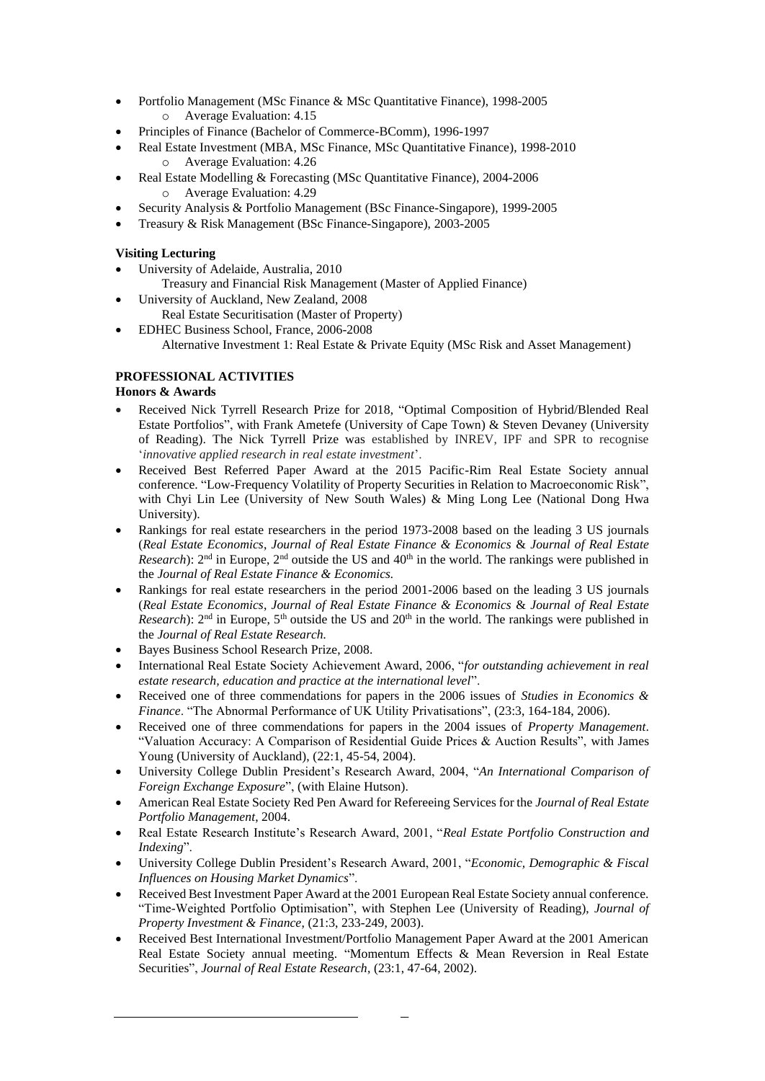- Portfolio Management (MSc Finance & MSc Quantitative Finance), 1998-2005 o Average Evaluation: 4.15
- Principles of Finance (Bachelor of Commerce-BComm), 1996-1997
- Real Estate Investment (MBA, MSc Finance, MSc Quantitative Finance), 1998-2010 o Average Evaluation: 4.26
- Real Estate Modelling & Forecasting (MSc Quantitative Finance), 2004-2006 o Average Evaluation: 4.29
- Security Analysis & Portfolio Management (BSc Finance-Singapore), 1999-2005
- Treasury & Risk Management (BSc Finance-Singapore), 2003-2005

### **Visiting Lecturing**

- University of Adelaide, Australia, 2010 Treasury and Financial Risk Management (Master of Applied Finance)
- University of Auckland, New Zealand, 2008 Real Estate Securitisation (Master of Property)
- EDHEC Business School, France, 2006-2008 Alternative Investment 1: Real Estate & Private Equity (MSc Risk and Asset Management)

# **PROFESSIONAL ACTIVITIES**

# **Honors & Awards**

- Received Nick Tyrrell Research Prize for 2018, "Optimal Composition of Hybrid/Blended Real Estate Portfolios", with Frank Ametefe (University of Cape Town) & Steven Devaney (University of Reading). The Nick Tyrrell Prize was established by INREV, IPF and SPR to recognise '*innovative applied research in real estate investment*'.
- Received Best Referred Paper Award at the 2015 Pacific-Rim Real Estate Society annual conference. "Low-Frequency Volatility of Property Securities in Relation to Macroeconomic Risk", with Chyi Lin Lee (University of New South Wales) & Ming Long Lee (National Dong Hwa University).
- Rankings for real estate researchers in the period 1973-2008 based on the leading 3 US journals (*Real Estate Economics*, *Journal of Real Estate Finance & Economics* & *Journal of Real Estate Research*): 2<sup>nd</sup> in Europe, 2<sup>nd</sup> outside the US and 40<sup>th</sup> in the world. The rankings were published in the *Journal of Real Estate Finance & Economics.*
- Rankings for real estate researchers in the period 2001-2006 based on the leading 3 US journals (*Real Estate Economics*, *Journal of Real Estate Finance & Economics* & *Journal of Real Estate Research*):  $2<sup>nd</sup>$  in Europe,  $5<sup>th</sup>$  outside the US and  $20<sup>th</sup>$  in the world. The rankings were published in the *Journal of Real Estate Research.*
- Bayes Business School Research Prize, 2008.
- International Real Estate Society Achievement Award, 2006, "*for outstanding achievement in real estate research, education and practice at the international level*".
- Received one of three commendations for papers in the 2006 issues of *Studies in Economics & Finance*. "The Abnormal Performance of UK Utility Privatisations", (23:3, 164-184, 2006).
- Received one of three commendations for papers in the 2004 issues of *Property Management*. "Valuation Accuracy: A Comparison of Residential Guide Prices & Auction Results", with James Young (University of Auckland), (22:1, 45-54, 2004).
- University College Dublin President's Research Award, 2004, "*An International Comparison of Foreign Exchange Exposure*", (with Elaine Hutson).
- American Real Estate Society Red Pen Award for Refereeing Services for the *Journal of Real Estate Portfolio Management*, 2004.
- Real Estate Research Institute's Research Award, 2001, "*Real Estate Portfolio Construction and Indexing*".
- University College Dublin President's Research Award, 2001, "*Economic, Demographic & Fiscal Influences on Housing Market Dynamics*".
- Received Best Investment Paper Award at the 2001 European Real Estate Society annual conference. "Time-Weighted Portfolio Optimisation", with Stephen Lee (University of Reading), *Journal of Property Investment & Finance*, (21:3, 233-249, 2003).
- Received Best International Investment/Portfolio Management Paper Award at the 2001 American Real Estate Society annual meeting. "Momentum Effects & Mean Reversion in Real Estate Securities", *Journal of Real Estate Research*, (23:1, 47-64, 2002).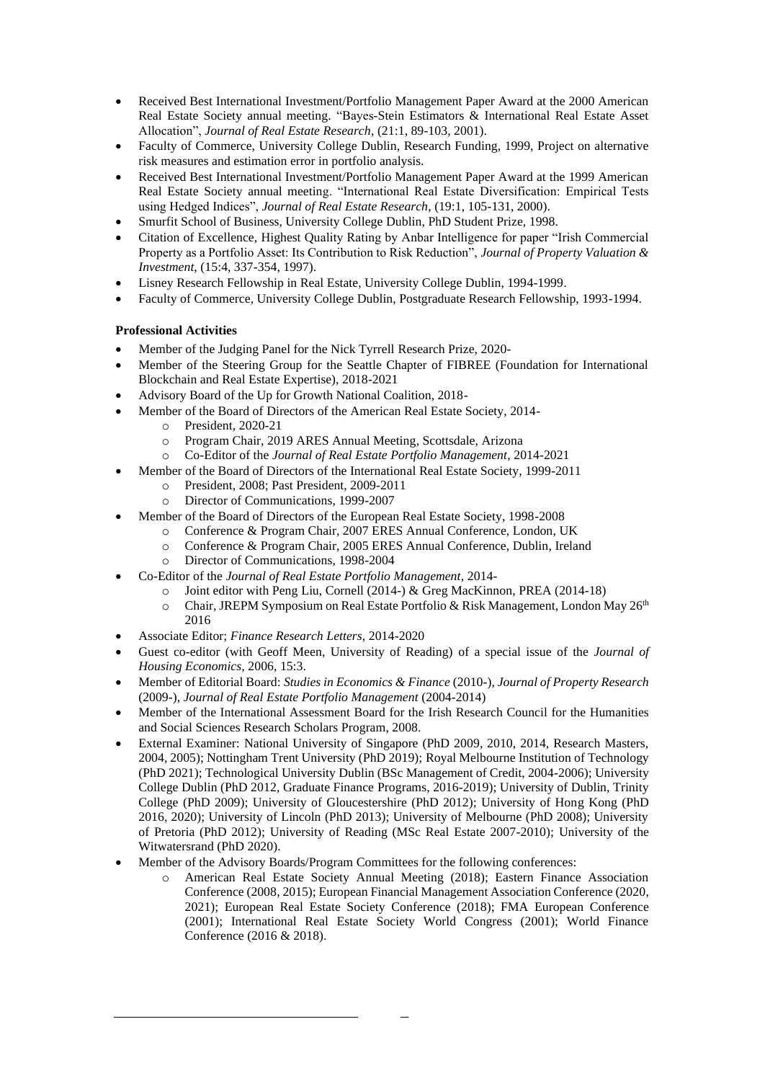- Received Best International Investment/Portfolio Management Paper Award at the 2000 American Real Estate Society annual meeting. "Bayes-Stein Estimators & International Real Estate Asset Allocation", *Journal of Real Estate Research*, (21:1, 89-103, 2001).
- Faculty of Commerce, University College Dublin, Research Funding, 1999, Project on alternative risk measures and estimation error in portfolio analysis.
- Received Best International Investment/Portfolio Management Paper Award at the 1999 American Real Estate Society annual meeting. "International Real Estate Diversification: Empirical Tests using Hedged Indices", *Journal of Real Estate Research*, (19:1, 105-131, 2000).
- Smurfit School of Business, University College Dublin, PhD Student Prize, 1998.
- Citation of Excellence, Highest Quality Rating by Anbar Intelligence for paper "Irish Commercial Property as a Portfolio Asset: Its Contribution to Risk Reduction", *Journal of Property Valuation & Investment*, (15:4, 337-354, 1997).
- Lisney Research Fellowship in Real Estate, University College Dublin, 1994-1999.
- Faculty of Commerce, University College Dublin, Postgraduate Research Fellowship, 1993-1994.

### **Professional Activities**

- Member of the Judging Panel for the Nick Tyrrell Research Prize, 2020-
- Member of the Steering Group for the Seattle Chapter of FIBREE (Foundation for International Blockchain and Real Estate Expertise), 2018-2021
- Advisory Board of the Up for Growth National Coalition, 2018-
- Member of the Board of Directors of the American Real Estate Society, 2014
	- o President, 2020-21
	- o Program Chair, 2019 ARES Annual Meeting, Scottsdale, Arizona
	- o Co-Editor of the *Journal of Real Estate Portfolio Management*, 2014-2021
- Member of the Board of Directors of the International Real Estate Society, 1999-2011
	- o President, 2008; Past President, 2009-2011
	- o Director of Communications, 1999-2007
- Member of the Board of Directors of the European Real Estate Society, 1998-2008
	- Conference & Program Chair, 2007 ERES Annual Conference, London, UK
		- o Conference & Program Chair, 2005 ERES Annual Conference, Dublin, Ireland
		- o Director of Communications, 1998-2004
- Co-Editor of the *Journal of Real Estate Portfolio Management*, 2014
	- o Joint editor with Peng Liu, Cornell (2014-) & Greg MacKinnon, PREA (2014-18)
	- $\circ$  Chair, JREPM Symposium on Real Estate Portfolio & Risk Management, London May 26<sup>th</sup> 2016
- Associate Editor; *Finance Research Letters*, 2014-2020
- Guest co-editor (with Geoff Meen, University of Reading) of a special issue of the *Journal of Housing Economics,* 2006, 15:3.
- Member of Editorial Board: *Studies in Economics & Finance* (2010-), *Journal of Property Research*  (2009-), *Journal of Real Estate Portfolio Management* (2004-2014)
- Member of the International Assessment Board for the Irish Research Council for the Humanities and Social Sciences Research Scholars Program, 2008.
- External Examiner: National University of Singapore (PhD 2009, 2010, 2014, Research Masters, 2004, 2005); Nottingham Trent University (PhD 2019); Royal Melbourne Institution of Technology (PhD 2021); Technological University Dublin (BSc Management of Credit, 2004-2006); University College Dublin (PhD 2012, Graduate Finance Programs, 2016-2019); University of Dublin, Trinity College (PhD 2009); University of Gloucestershire (PhD 2012); University of Hong Kong (PhD 2016, 2020); University of Lincoln (PhD 2013); University of Melbourne (PhD 2008); University of Pretoria (PhD 2012); University of Reading (MSc Real Estate 2007-2010); University of the Witwatersrand (PhD 2020).
- Member of the Advisory Boards/Program Committees for the following conferences:
	- American Real Estate Society Annual Meeting (2018); Eastern Finance Association Conference (2008, 2015); European Financial Management Association Conference (2020, 2021); European Real Estate Society Conference (2018); FMA European Conference (2001); International Real Estate Society World Congress (2001); World Finance Conference (2016 & 2018).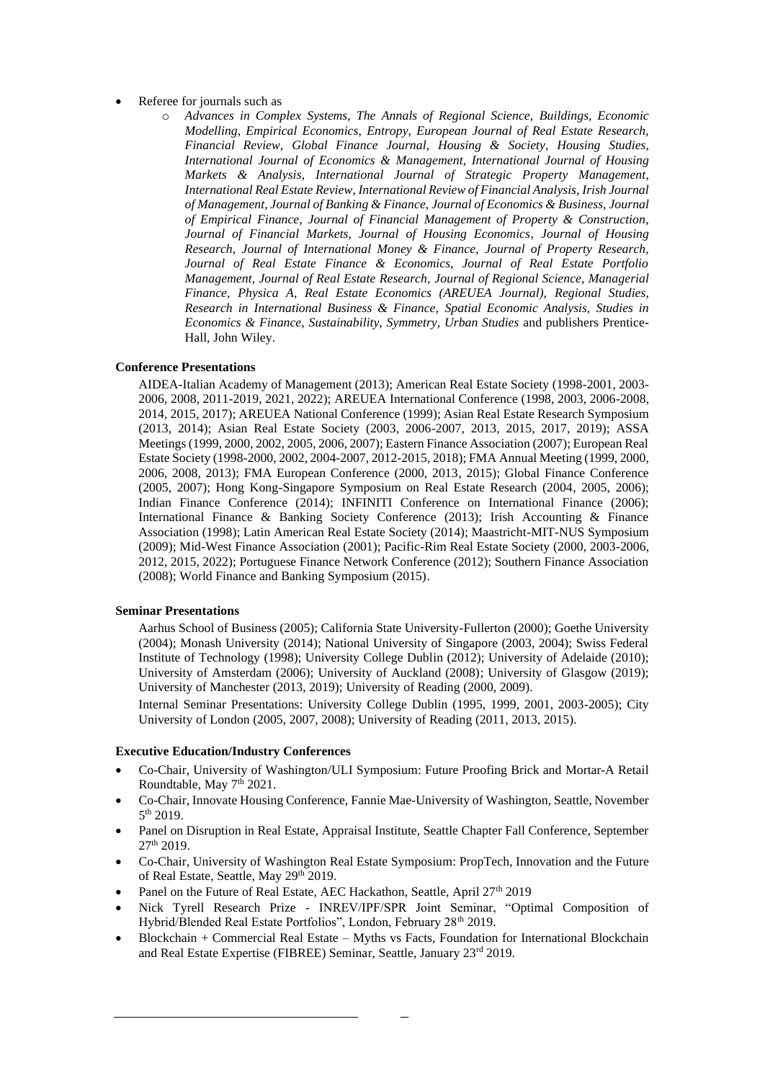- Referee for journals such as
	- o *Advances in Complex Systems, The Annals of Regional Science, Buildings, Economic Modelling, Empirical Economics, Entropy, European Journal of Real Estate Research, Financial Review, Global Finance Journal, Housing & Society, Housing Studies, International Journal of Economics & Management*, *International Journal of Housing Markets & Analysis*, *International Journal of Strategic Property Management*, *International Real Estate Review*, *International Review of Financial Analysis*, *Irish Journal of Management, Journal of Banking & Finance, Journal of Economics & Business, Journal of Empirical Finance, Journal of Financial Management of Property & Construction, Journal of Financial Markets, Journal of Housing Economics*, *Journal of Housing Research, Journal of International Money & Finance, Journal of Property Research, Journal of Real Estate Finance & Economics, Journal of Real Estate Portfolio Management, Journal of Real Estate Research, Journal of Regional Science, Managerial Finance, Physica A, Real Estate Economics (AREUEA Journal), Regional Studies, Research in International Business & Finance, Spatial Economic Analysis, Studies in Economics & Finance, Sustainability, Symmetry, Urban Studies* and publishers Prentice-Hall, John Wiley.

#### **Conference Presentations**

AIDEA-Italian Academy of Management (2013); American Real Estate Society (1998-2001, 2003- 2006, 2008, 2011-2019, 2021, 2022); AREUEA International Conference (1998, 2003, 2006-2008, 2014, 2015, 2017); AREUEA National Conference (1999); Asian Real Estate Research Symposium (2013, 2014); Asian Real Estate Society (2003, 2006-2007, 2013, 2015, 2017, 2019); ASSA Meetings (1999, 2000, 2002, 2005, 2006, 2007); Eastern Finance Association (2007); European Real Estate Society (1998-2000, 2002, 2004-2007, 2012-2015, 2018); FMA Annual Meeting (1999, 2000, 2006, 2008, 2013); FMA European Conference (2000, 2013, 2015); Global Finance Conference (2005, 2007); Hong Kong-Singapore Symposium on Real Estate Research (2004, 2005, 2006); Indian Finance Conference (2014); INFINITI Conference on International Finance (2006); International Finance & Banking Society Conference (2013); Irish Accounting & Finance Association (1998); Latin American Real Estate Society (2014); Maastricht-MIT-NUS Symposium (2009); Mid-West Finance Association (2001); Pacific-Rim Real Estate Society (2000, 2003-2006, 2012, 2015, 2022); Portuguese Finance Network Conference (2012); Southern Finance Association (2008); World Finance and Banking Symposium (2015).

#### **Seminar Presentations**

Aarhus School of Business (2005); California State University-Fullerton (2000); Goethe University (2004); Monash University (2014); National University of Singapore (2003, 2004); Swiss Federal Institute of Technology (1998); University College Dublin (2012); University of Adelaide (2010); University of Amsterdam (2006); University of Auckland (2008); University of Glasgow (2019); University of Manchester (2013, 2019); University of Reading (2000, 2009).

Internal Seminar Presentations: University College Dublin (1995, 1999, 2001, 2003-2005); City University of London (2005, 2007, 2008); University of Reading (2011, 2013, 2015).

#### **Executive Education/Industry Conferences**

- Co-Chair, University of Washington/ULI Symposium: Future Proofing Brick and Mortar-A Retail Roundtable, May 7<sup>th</sup> 2021.
- Co-Chair, Innovate Housing Conference, Fannie Mae-University of Washington, Seattle, November  $5<sup>th</sup>$  2019.
- Panel on Disruption in Real Estate, Appraisal Institute, Seattle Chapter Fall Conference, September 27th 2019.
- Co-Chair, University of Washington Real Estate Symposium: PropTech, Innovation and the Future of Real Estate, Seattle, May 29<sup>th</sup> 2019.
- Panel on the Future of Real Estate, AEC Hackathon, Seattle, April 27<sup>th</sup> 2019
- Nick Tyrell Research Prize INREV/IPF/SPR Joint Seminar, "Optimal Composition of Hybrid/Blended Real Estate Portfolios", London, February 28th 2019.
- Blockchain + Commercial Real Estate Myths vs Facts, Foundation for International Blockchain and Real Estate Expertise (FIBREE) Seminar, Seattle, January 23rd 2019.